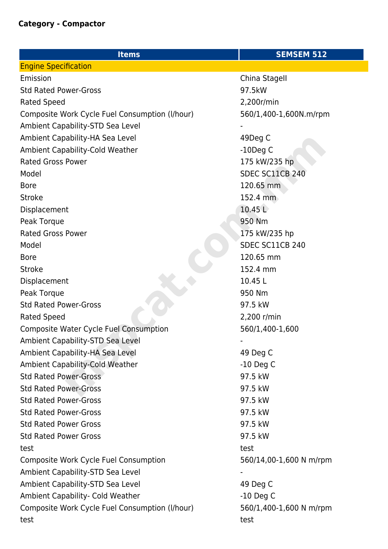| <b>Items</b>                                   | <b>SEMSEM 512</b>       |
|------------------------------------------------|-------------------------|
| <b>Engine Specification</b>                    |                         |
| Emission                                       | China Stagell           |
| <b>Std Rated Power-Gross</b>                   | 97.5kW                  |
| Rated Speed                                    | 2,200r/min              |
| Composite Work Cycle Fuel Consumption (I/hour) | 560/1,400-1,600N.m/rpm  |
| Ambient Capability-STD Sea Level               |                         |
| Ambient Capability-HA Sea Level                | 49Deg C                 |
| Ambient Capability-Cold Weather                | $-10$ Deg C             |
| <b>Rated Gross Power</b>                       | 175 kW/235 hp           |
| Model                                          | SDEC SC11CB 240         |
| <b>Bore</b>                                    | 120.65 mm               |
| <b>Stroke</b>                                  | 152.4 mm                |
| Displacement                                   | 10.45 L                 |
| Peak Torque                                    | 950 Nm                  |
| <b>Rated Gross Power</b>                       | 175 kW/235 hp           |
| Model                                          | SDEC SC11CB 240         |
| <b>Bore</b>                                    | 120.65 mm               |
| <b>Stroke</b>                                  | 152.4 mm                |
| Displacement                                   | 10.45 L                 |
| Peak Torque                                    | 950 Nm                  |
| <b>Std Rated Power-Gross</b>                   | 97.5 kW                 |
| <b>Rated Speed</b>                             | 2,200 r/min             |
| <b>Composite Water Cycle Fuel Consumption</b>  | 560/1,400-1,600         |
| Ambient Capability-STD Sea Level               |                         |
| Ambient Capability-HA Sea Level                | 49 Deg C                |
| <b>Ambient Capability-Cold Weather</b>         | $-10$ Deg C             |
| Std Rated Power-Gross                          | 97.5 kW                 |
| <b>Std Rated Power-Gross</b>                   | 97.5 kW                 |
| <b>Std Rated Power-Gross</b>                   | 97.5 kW                 |
| <b>Std Rated Power-Gross</b>                   | 97.5 kW                 |
| <b>Std Rated Power Gross</b>                   | 97.5 kW                 |
| <b>Std Rated Power Gross</b>                   | 97.5 kW                 |
| test                                           | test                    |
| Composite Work Cycle Fuel Consumption          | 560/14,00-1,600 N m/rpm |
| Ambient Capability-STD Sea Level               |                         |
| Ambient Capability-STD Sea Level               | 49 Deg C                |
| Ambient Capability- Cold Weather               | $-10$ Deg C             |
| Composite Work Cycle Fuel Consumption (I/hour) | 560/1,400-1,600 N m/rpm |
| test                                           | test                    |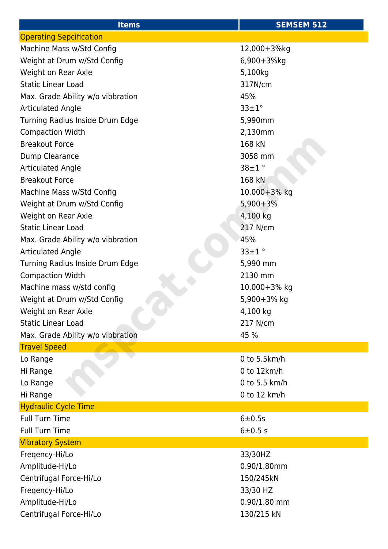| <b>Items</b>                      | <b>SEMSEM 512</b> |
|-----------------------------------|-------------------|
| <b>Operating Sepcification</b>    |                   |
| Machine Mass w/Std Config         | 12,000+3%kg       |
| Weight at Drum w/Std Config       | 6,900+3%kg        |
| Weight on Rear Axle               | 5,100kg           |
| <b>Static Linear Load</b>         | 317N/cm           |
| Max. Grade Ability w/o vibbration | 45%               |
| <b>Articulated Angle</b>          | $33 \pm 1^\circ$  |
| Turning Radius Inside Drum Edge   | 5,990mm           |
| <b>Compaction Width</b>           | 2,130mm           |
| <b>Breakout Force</b>             | 168 kN            |
| Dump Clearance                    | 3058 mm           |
| <b>Articulated Angle</b>          | $38 \pm 1$ °      |
| <b>Breakout Force</b>             | 168 kN            |
| Machine Mass w/Std Config         | 10,000+3% kg      |
| Weight at Drum w/Std Config       | $5,900+3%$        |
| Weight on Rear Axle               | 4,100 kg          |
| <b>Static Linear Load</b>         | 217 N/cm          |
| Max. Grade Ability w/o vibbration | 45%               |
| <b>Articulated Angle</b>          | $33 \pm 1$ °      |
| Turning Radius Inside Drum Edge   | 5,990 mm          |
| <b>Compaction Width</b>           | 2130 mm           |
| Machine mass w/std config         | 10,000+3% kg      |
| Weight at Drum w/Std Config       | 5,900+3% kg       |
| Weight on Rear Axle               | 4,100 kg          |
| <b>Static Linear Load</b>         | 217 N/cm          |
| Max. Grade Ability w/o vibbration | 45 %              |
| <b>Travel Speed</b>               |                   |
| Lo Range                          | 0 to 5.5km/h      |
| Hi Range                          | 0 to 12km/h       |
| Lo Range                          | 0 to 5.5 km/h     |
| Hi Range                          | 0 to 12 km/h      |
| <b>Hydraulic Cycle Time</b>       |                   |
| <b>Full Turn Time</b>             | 6±0.5s            |
| <b>Full Turn Time</b>             | 6±0.5s            |
| <b>Vibratory System</b>           |                   |
| Fregency-Hi/Lo                    | 33/30HZ           |
| Amplitude-Hi/Lo                   | $0.90/1.80$ mm    |
| Centrifugal Force-Hi/Lo           | 150/245kN         |
| Freqency-Hi/Lo                    | 33/30 HZ          |
| Amplitude-Hi/Lo                   | $0.90/1.80$ mm    |
| Centrifugal Force-Hi/Lo           | 130/215 kN        |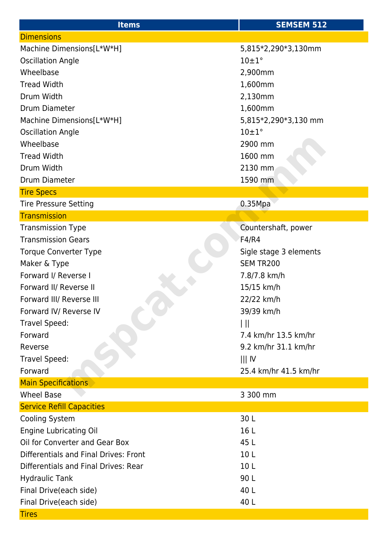| <b>Items</b>                          | <b>SEMSEM 512</b>      |
|---------------------------------------|------------------------|
| <b>Dimensions</b>                     |                        |
| Machine Dimensions[L*W*H]             | 5,815*2,290*3,130mm    |
| <b>Oscillation Angle</b>              | $10 \pm 1^{\circ}$     |
| Wheelbase                             | 2,900mm                |
| <b>Tread Width</b>                    | 1,600mm                |
| Drum Width                            | 2,130mm                |
| Drum Diameter                         | 1,600mm                |
| Machine Dimensions[L*W*H]             | 5,815*2,290*3,130 mm   |
| <b>Oscillation Angle</b>              | $10 \pm 1$ °           |
| Wheelbase                             | 2900 mm                |
| <b>Tread Width</b>                    | 1600 mm                |
| Drum Width                            | 2130 mm                |
| Drum Diameter                         | 1590 mm                |
| <b>Tire Specs</b>                     |                        |
| <b>Tire Pressure Setting</b>          | 0.35Mpa                |
| <b>Transmission</b>                   |                        |
| <b>Transmission Type</b>              | Countershaft, power    |
| <b>Transmission Gears</b>             | F4/R4                  |
| <b>Torque Converter Type</b>          | Sigle stage 3 elements |
| Maker & Type                          | SEM TR200              |
| Forward I/ Reverse I                  | 7.8/7.8 km/h           |
| Forward II/ Reverse II                | 15/15 km/h             |
| Forward III/ Reverse III              | 22/22 km/h             |
| Forward IV/ Reverse IV                | 39/39 km/h             |
| Travel Speed:                         | Ш                      |
| Forward                               | 7.4 km/hr 13.5 km/hr   |
| Reverse                               | 9.2 km/hr 31.1 km/hr   |
| Travel Speed:                         | $   $ IV               |
| Forward                               | 25.4 km/hr 41.5 km/hr  |
| <b>Main Specifications</b>            |                        |
| <b>Wheel Base</b>                     | 3 300 mm               |
| <b>Service Refill Capacities</b>      |                        |
| Cooling System                        | 30L                    |
| <b>Engine Lubricating Oil</b>         | 16 L                   |
| Oil for Converter and Gear Box        | 45 L                   |
| Differentials and Final Drives: Front | 10L                    |
| Differentials and Final Drives: Rear  | 10 <sub>L</sub>        |
| <b>Hydraulic Tank</b>                 | 90L                    |
| Final Drive(each side)                | 40 L                   |
| Final Drive(each side)                | 40 L                   |
| <b>Tires</b>                          |                        |